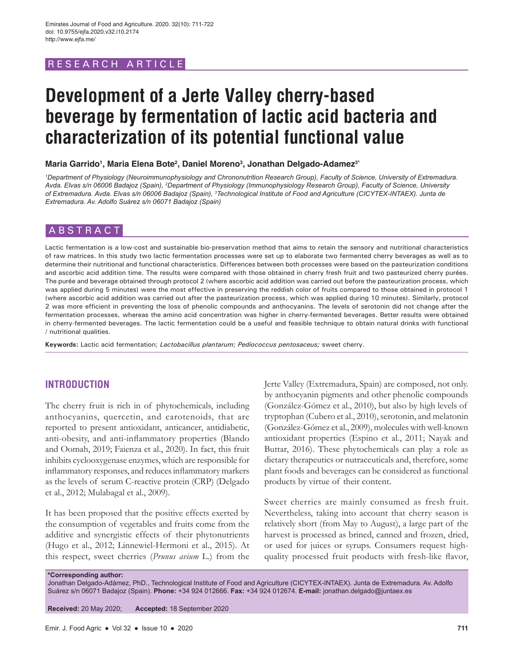# RESEARCH ARTICLE

# **Development of a Jerte Valley cherry-based beverage by fermentation of lactic acid bacteria and characterization of its potential functional value**

**Maria Garrido1 , Maria Elena Bote2 , Daniel Moreno3 , Jonathan Delgado-Adamez3\***

*1 Department of Physiology (Neuroimmunophysiology and Chrononutrition Research Group), Faculty of Science, University of Extremadura.*  Avda. Elvas s/n 06006 Badajoz (Spain), <sup>2</sup>Department of Physiology (Immunophysiology Research Group), Faculty of Science, University *of Extremadura. Avda. Elvas s/n 06006 Badajoz (Spain), 3 Technological Institute of Food and Agriculture (CICYTEX-INTAEX). Junta de Extremadura. Av. Adolfo Suárez s/n 06071 Badajoz (Spain)*

# ABSTRACT

Lactic fermentation is a low-cost and sustainable bio-preservation method that aims to retain the sensory and nutritional characteristics of raw matrices. In this study two lactic fermentation processes were set up to elaborate two fermented cherry beverages as well as to determine their nutritional and functional characteristics. Differences between both processes were based on the pasteurization conditions and ascorbic acid addition time. The results were compared with those obtained in cherry fresh fruit and two pasteurized cherry purées. The purée and beverage obtained through protocol 2 (where ascorbic acid addition was carried out before the pasteurization process, which was applied during 5 minutes) were the most effective in preserving the reddish color of fruits compared to those obtained in protocol 1 (where ascorbic acid addition was carried out after the pasteurization process, which was applied during 10 minutes). Similarly, protocol 2 was more efficient in preventing the loss of phenolic compounds and anthocyanins. The levels of serotonin did not change after the fermentation processes, whereas the amino acid concentration was higher in cherry-fermented beverages. Better results were obtained in cherry-fermented beverages. The lactic fermentation could be a useful and feasible technique to obtain natural drinks with functional / nutritional qualities.

**Keywords:** Lactic acid fermentation; *Lactobacillus plantarum*; *Pediococcus pentosaceus;* sweet cherry.

# **INTRODUCTION**

The cherry fruit is rich in of phytochemicals, including anthocyanins, quercetin, and carotenoids, that are reported to present antioxidant, anticancer, antidiabetic, anti-obesity, and anti-inflammatory properties (Blando and Oomah, 2019; Faienza et al., 2020). In fact, this fruit inhibits cyclooxygenase enzymes, which are responsible for inflammatory responses, and reduces inflammatory markers as the levels of serum C-reactive protein (CRP) (Delgado et al., 2012; Mulabagal et al., 2009).

It has been proposed that the positive effects exerted by the consumption of vegetables and fruits come from the additive and synergistic effects of their phytonutrients (Hugo et al., 2012; Linnewiel-Hermoni et al., 2015). At this respect, sweet cherries (*Prunus avium* L.) from the Jerte Valley (Extremadura, Spain) are composed, not only. by anthocyanin pigments and other phenolic compounds (González-Gómez et al., 2010), but also by high levels of tryptophan (Cubero et al., 2010), serotonin, and melatonin (González-Gómez et al., 2009), molecules with well-known antioxidant properties (Espino et al., 2011; Nayak and Buttar, 2016). These phytochemicals can play a role as dietary therapeutics or nutraceuticals and, therefore, some plant foods and beverages can be considered as functional products by virtue of their content.

Sweet cherries are mainly consumed as fresh fruit. Nevertheless, taking into account that cherry season is relatively short (from May to August), a large part of the harvest is processed as brined, canned and frozen, dried, or used for juices or syrups. Consumers request highquality processed fruit products with fresh-like flavor,

**\*Corresponding author:** Jonathan Delgado-Adámez, PhD., Technological Institute of Food and Agriculture (CICYTEX-INTAEX). Junta de Extremadura. Av. Adolfo Suárez s/n 06071 Badajoz (Spain). **Phone:** +34 924 012666. **Fax:** +34 924 012674. **E-mail:** jonathan.delgado@juntaex.es

**Received:** 20 May 2020; **Accepted:** 18 September 2020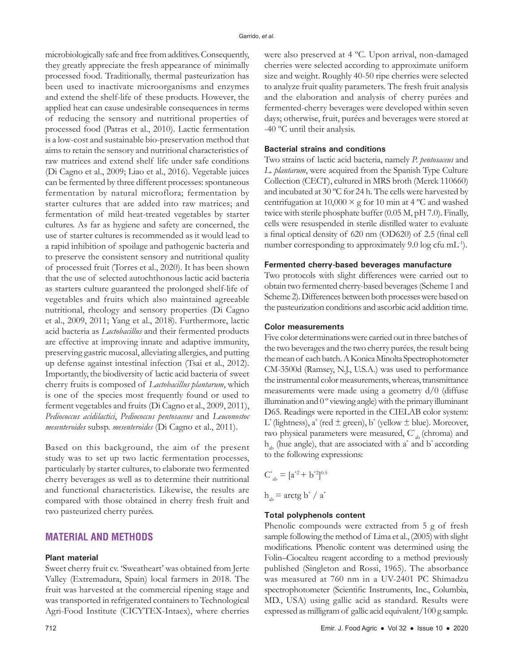microbiologically safe and free from additives. Consequently, they greatly appreciate the fresh appearance of minimally processed food. Traditionally, thermal pasteurization has been used to inactivate microorganisms and enzymes and extend the shelf-life of these products. However, the applied heat can cause undesirable consequences in terms of reducing the sensory and nutritional properties of processed food (Patras et al., 2010). Lactic fermentation is a low-cost and sustainable bio-preservation method that aims to retain the sensory and nutritional characteristics of raw matrices and extend shelf life under safe conditions (Di Cagno et al., 2009; Liao et al., 2016). Vegetable juices can be fermented by three different processes: spontaneous fermentation by natural microflora; fermentation by starter cultures that are added into raw matrices; and fermentation of mild heat-treated vegetables by starter cultures. As far as hygiene and safety are concerned, the use of starter cultures is recommended as it would lead to a rapid inhibition of spoilage and pathogenic bacteria and to preserve the consistent sensory and nutritional quality of processed fruit (Torres et al., 2020). It has been shown that the use of selected autochthonous lactic acid bacteria as starters culture guaranteed the prolonged shelf-life of vegetables and fruits which also maintained agreeable nutritional, rheology and sensory properties (Di Cagno et al., 2009, 2011; Yang et al., 2018). Furthermore, lactic acid bacteria as *Lactobacillus* and their fermented products are effective at improving innate and adaptive immunity, preserving gastric mucosal, alleviating allergies, and putting up defense against intestinal infection (Tsai et al., 2012). Importantly, the biodiversity of lactic acid bacteria of sweet cherry fruits is composed of *Lactobacillus plantarum*, which is one of the species most frequently found or used to ferment vegetables and fruits (Di Cagno et al., 2009, 2011), *Pediococcus acidilactici*, *Pediococcus pentosaceus* and *Leuconostoc mesenteroides* subsp. *mesenteroides* (Di Cagno et al., 2011).

Based on this background, the aim of the present study was to set up two lactic fermentation processes, particularly by starter cultures, to elaborate two fermented cherry beverages as well as to determine their nutritional and functional characteristics. Likewise, the results are compared with those obtained in cherry fresh fruit and two pasteurized cherry purées.

# **MATERIAL AND METHODS**

#### **Plant material**

Sweet cherry fruit cv. 'Sweatheart' was obtained from Jerte Valley (Extremadura, Spain) local farmers in 2018. The fruit was harvested at the commercial ripening stage and was transported in refrigerated containers to Technological Agri-Food Institute (CICYTEX-Intaex), where cherries were also preserved at 4 ºC. Upon arrival, non-damaged cherries were selected according to approximate uniform size and weight. Roughly 40-50 ripe cherries were selected to analyze fruit quality parameters. The fresh fruit analysis and the elaboration and analysis of cherry purées and fermented-cherry beverages were developed within seven days; otherwise, fruit, purées and beverages were stored at -40 ºC until their analysis.

## **Bacterial strains and conditions**

Two strains of lactic acid bacteria, namely *P. pentosaceus* and *L. plantarum*, were acquired from the Spanish Type Culture Collection (CECT), cultured in MRS broth (Merck 110660) and incubated at 30 ºC for 24 h. The cells were harvested by centrifugation at  $10,000 \times g$  for 10 min at 4 °C and washed twice with sterile phosphate buffer (0.05 M, pH 7.0). Finally, cells were resuspended in sterile distilled water to evaluate a final optical density of 620 nm (OD620) of 2.5 (final cell number corresponding to approximately 9.0 log cfu mL-1).

#### **Fermented cherry-based beverages manufacture**

Two protocols with slight differences were carried out to obtain two fermented cherry-based beverages (Scheme 1 and Scheme 2). Differences between both processes were based on the pasteurization conditions and ascorbic acid addition time.

## **Color measurements**

Five color determinations were carried out in three batches of the two beverages and the two cherry purées, the result being the mean of each batch. A Konica Minolta Spectrophotometer CM-3500d (Ramsey, N.J., U.S.A.) was used to performance the instrumental color measurements, whereas, transmittance measurements were made using a geometry d/0 (diffuse illumination and 0 º viewing angle) with the primary illuminant D65. Readings were reported in the CIELAB color system: L\* (lightness), a\* (red  $\pm$  green), b\* (yellow  $\pm$  blue). Moreover, two physical parameters were measured,  $C^*_{ab}$  (chroma) and  $h_{ab}$  (hue angle), that are associated with a<sup>\*</sup> and b<sup>\*</sup> according to the following expressions:

$$
C_{ab}^* = [a^{*2} + b^{*2}]^{0.5}
$$
  

$$
h_{ab} = \arctg b^* / a^*
$$

#### **Total polyphenols content**

Phenolic compounds were extracted from 5 g of fresh sample following the method of Lima et al., (2005) with slight modifications. Phenolic content was determined using the Folin–Ciocalteu reagent according to a method previously published (Singleton and Rossi, 1965). The absorbance was measured at 760 nm in a UV-2401 PC Shimadzu spectrophotometer (Scientific Instruments, Inc., Columbia, MD., USA) using gallic acid as standard. Results were expressed as milligram of gallic acid equivalent/100 g sample.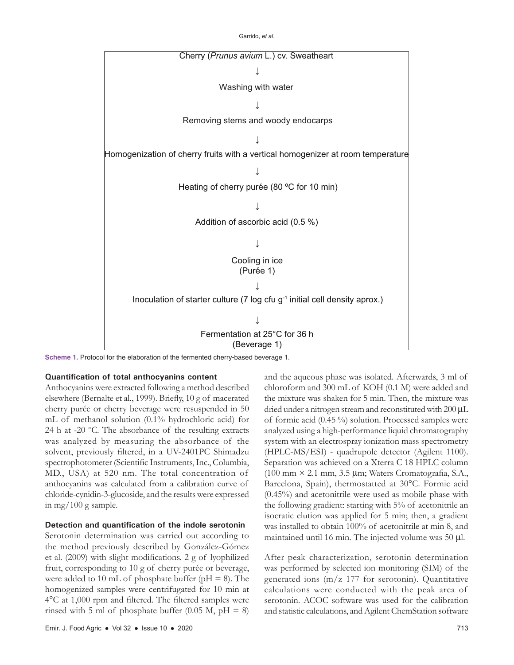Garrido, *et al*.



**Scheme 1.** Protocol for the elaboration of the fermented cherry-based beverage 1.

#### **Quantification of total anthocyanins content**

Anthocyanins were extracted following a method described elsewhere (Bernalte et al., 1999). Briefly, 10 g of macerated cherry purée or cherry beverage were resuspended in 50 mL of methanol solution (0.1% hydrochloric acid) for 24 h at -20 ºC. The absorbance of the resulting extracts was analyzed by measuring the absorbance of the solvent, previously filtered, in a UV-2401PC Shimadzu spectrophotometer (Scientific Instruments, Inc., Columbia, MD., USA) at 520 nm. The total concentration of anthocyanins was calculated from a calibration curve of chloride-cynidin-3-glucoside, and the results were expressed in mg/100 g sample.

#### **Detection and quantification of the indole serotonin**

Serotonin determination was carried out according to the method previously described by González-Gómez et al. (2009) with slight modifications. 2 g of lyophilized fruit, corresponding to 10 g of cherry purée or beverage, were added to 10 mL of phosphate buffer ( $pH = 8$ ). The homogenized samples were centrifugated for 10 min at 4°C at 1,000 rpm and filtered. The filtered samples were rinsed with 5 ml of phosphate buffer (0.05 M,  $pH = 8$ ) and the aqueous phase was isolated. Afterwards, 3 ml of chloroform and 300 mL of KOH (0.1 M) were added and the mixture was shaken for 5 min. Then, the mixture was dried under a nitrogen stream and reconstituted with 200 μL of formic acid (0.45 %) solution. Processed samples were analyzed using a high-performance liquid chromatography system with an electrospray ionization mass spectrometry (HPLC-MS/ESI) - quadrupole detector (Agilent 1100). Separation was achieved on a Xterra C 18 HPLC column (100 mm × 2.1 mm, 3.5 µm; Waters Cromatografia, S.A., Barcelona, Spain), thermostatted at 30°C. Formic acid (0.45%) and acetonitrile were used as mobile phase with the following gradient: starting with 5% of acetonitrile an isocratic elution was applied for 5 min; then, a gradient was installed to obtain 100% of acetonitrile at min 8, and maintained until 16 min. The injected volume was 50 µl.

After peak characterization, serotonin determination was performed by selected ion monitoring (SIM) of the generated ions (m/z 177 for serotonin). Quantitative calculations were conducted with the peak area of serotonin. ACOC software was used for the calibration and statistic calculations, and Agilent ChemStation software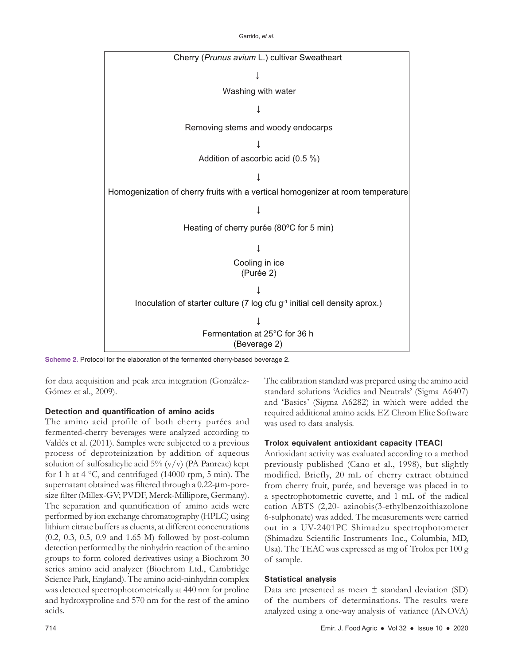Garrido, *et al*.



**Scheme 2.** Protocol for the elaboration of the fermented cherry-based beverage 2.

for data acquisition and peak area integration (González-Gómez et al., 2009).

# **Detection and quantification of amino acids**

The amino acid profile of both cherry purées and fermented-cherry beverages were analyzed according to Valdés et al. (2011). Samples were subjected to a previous process of deproteinization by addition of aqueous solution of sulfosalicylic acid  $5\%$  (v/v) (PA Panreac) kept for 1 h at 4 °C, and centrifuged (14000 rpm, 5 min). The supernatant obtained was filtered through a 0.22-μm-poresize filter (Millex-GV; PVDF, Merck-Millipore, Germany). The separation and quantification of amino acids were performed by ion exchange chromatography (HPLC) using lithium citrate buffers as eluents, at different concentrations (0.2, 0.3, 0.5, 0.9 and 1.65 M) followed by post-column detection performed by the ninhydrin reaction of the amino groups to form colored derivatives using a Biochrom 30 series amino acid analyzer (Biochrom Ltd., Cambridge Science Park, England). The amino acid-ninhydrin complex was detected spectrophotometrically at 440 nm for proline and hydroxyproline and 570 nm for the rest of the amino acids.

The calibration standard was prepared using the amino acid standard solutions 'Acidics and Neutrals' (Sigma A6407) and 'Basics' (Sigma A6282) in which were added the required additional amino acids. EZ Chrom Elite Software was used to data analysis.

# **Trolox equivalent antioxidant capacity (TEAC)**

Antioxidant activity was evaluated according to a method previously published (Cano et al., 1998), but slightly modified. Briefly, 20 mL of cherry extract obtained from cherry fruit, purée, and beverage was placed in to a spectrophotometric cuvette, and 1 mL of the radical cation ABTS (2,20- azinobis(3-ethylbenzoithiazolone 6-sulphonate) was added. The measurements were carried out in a UV-2401PC Shimadzu spectrophotometer (Shimadzu Scientific Instruments Inc., Columbia, MD, Usa). The TEAC was expressed as mg of Trolox per 100 g of sample.

# **Statistical analysis**

Data are presented as mean  $\pm$  standard deviation (SD) of the numbers of determinations. The results were analyzed using a one-way analysis of variance (ANOVA)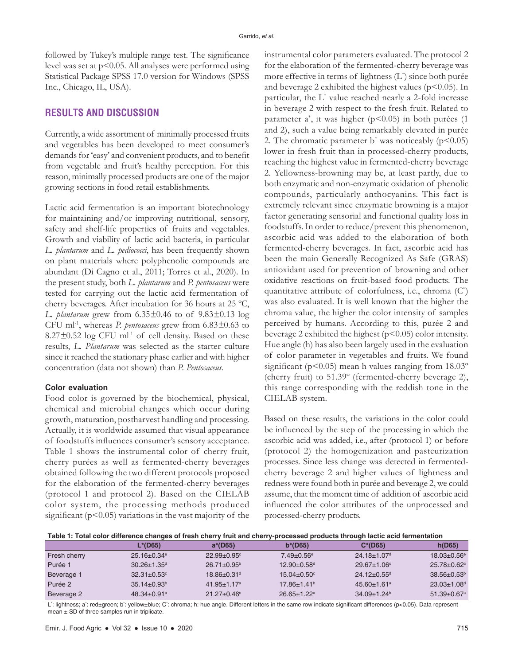followed by Tukey's multiple range test. The significance level was set at p<0.05. All analyses were performed using Statistical Package SPSS 17.0 version for Windows (SPSS Inc., Chicago, IL, USA).

# **RESULTS AND DISCUSSION**

Currently, a wide assortment of minimally processed fruits and vegetables has been developed to meet consumer's demands for 'easy' and convenient products, and to benefit from vegetable and fruit's healthy perception. For this reason, minimally processed products are one of the major growing sections in food retail establishments.

Lactic acid fermentation is an important biotechnology for maintaining and/or improving nutritional, sensory, safety and shelf-life properties of fruits and vegetables. Growth and viability of lactic acid bacteria, in particular *L. plantarum* and *L. pediococci*, has been frequently shown on plant materials where polyphenolic compounds are abundant (Di Cagno et al., 2011; Torres et al., 2020). In the present study, both *L. plantarum* and *P. pentosaceus* were tested for carrying out the lactic acid fermentation of cherry beverages. After incubation for 36 hours at 25 ºC, *L. plantarum* grew from 6.35*±*0.46 to of 9.83*±*0.13 log CFU ml-1, whereas *P. pentosaceus* grew from 6.83*±*0.63 to  $8.27\pm0.52$  log CFU ml<sup>-1</sup> of cell density. Based on these results, *L. Plantarum* was selected as the starter culture since it reached the stationary phase earlier and with higher concentration (data not shown) than *P. Pentosaceus.*

#### **Color evaluation**

Food color is governed by the biochemical, physical, chemical and microbial changes which occur during growth, maturation, postharvest handling and processing. Actually, it is worldwide assumed that visual appearance of foodstuffs influences consumer's sensory acceptance. Table 1 shows the instrumental color of cherry fruit, cherry purées as well as fermented-cherry beverages obtained following the two different protocols proposed for the elaboration of the fermented-cherry beverages (protocol 1 and protocol 2). Based on the CIELAB color system, the processing methods produced significant ( $p<0.05$ ) variations in the vast majority of the instrumental color parameters evaluated. The protocol 2 for the elaboration of the fermented-cherry beverage was more effective in terms of lightness (L\* ) since both purée and beverage 2 exhibited the highest values ( $p$ <0.05). In particular, the L\* value reached nearly a 2-fold increase in beverage 2 with respect to the fresh fruit. Related to parameter a\* , it was higher (p<0.05) in both purées (1 and 2), such a value being remarkably elevated in purée 2. The chromatic parameter  $b^*$  was noticeably ( $p$ <0.05) lower in fresh fruit than in processed-cherry products, reaching the highest value in fermented-cherry beverage 2. Yellowness-browning may be, at least partly, due to both enzymatic and non-enzymatic oxidation of phenolic compounds, particularly anthocyanins. This fact is extremely relevant since enzymatic browning is a major factor generating sensorial and functional quality loss in foodstuffs. In order to reduce/prevent this phenomenon, ascorbic acid was added to the elaboration of both fermented-cherry beverages. In fact, ascorbic acid has been the main Generally Recognized As Safe (GRAS) antioxidant used for prevention of browning and other oxidative reactions on fruit-based food products. The quantitative attribute of colorfulness, i.e., chroma  $(C^*)$ was also evaluated. It is well known that the higher the chroma value, the higher the color intensity of samples perceived by humans. According to this, purée 2 and beverage 2 exhibited the highest  $(p<0.05)$  color intensity. Hue angle (h) has also been largely used in the evaluation of color parameter in vegetables and fruits. We found significant ( $p$ <0.05) mean h values ranging from  $18.03^{\circ}$ (cherry fruit) to 51.39º (fermented-cherry beverage 2), this range corresponding with the reddish tone in the CIELAB system.

Based on these results, the variations in the color could be influenced by the step of the processing in which the ascorbic acid was added, i.e., after (protocol 1) or before (protocol 2) the homogenization and pasteurization processes. Since less change was detected in fermentedcherry beverage 2 and higher values of lightness and redness were found both in purée and beverage 2, we could assume, that the moment time of addition of ascorbic acid influenced the color attributes of the unprocessed and processed-cherry products.

**Table 1: Total color difference changes of fresh cherry fruit and cherry-processed products through lactic acid fermentation**

|              | L*(D65)                       | $a*(D65)$                     | $b*(D65)$                     | $C^*(D65)$                    | h(D65)                        |
|--------------|-------------------------------|-------------------------------|-------------------------------|-------------------------------|-------------------------------|
| Fresh cherry | $25.16 \pm 0.34$ <sup>e</sup> | $22.99 + 0.95$ <sup>c</sup>   | $7.49 \pm 0.56$ <sup>e</sup>  | $24.18 \pm 1.07$ <sup>d</sup> | $18.03 \pm 0.56$ <sup>e</sup> |
| Purée 1      | $30.26 \pm 1.35$ <sup>d</sup> | $26.71 \pm 0.95^{\circ}$      | $12.90 + 0.58$ <sup>d</sup>   | $29.67 \pm 1.06^{\circ}$      | $25.78 + 0.62$                |
| Beverage 1   | $32.31 \pm 0.53$ °            | $18.86 \pm 0.31$ <sup>d</sup> | $15.04 \pm 0.50$ <sup>c</sup> | $24.12 \pm 0.55$ <sup>d</sup> | $38.56 + 0.53b$               |
| Purée 2      | $35.14 \pm 0.93^{\circ}$      | $41.95 + 1.17$ <sup>a</sup>   | $17.86 \pm 1.41$ <sup>b</sup> | $45.60 \pm 1.61$ <sup>a</sup> | $23.03 + 1.08$ <sup>d</sup>   |
| Beverage 2   | $48.34 + 0.91a$               | $21.27 \pm 0.46$ °            | $26.65 + 1.22$ <sup>a</sup>   | $34.09 \pm 1.24$ <sup>b</sup> | $51.39 + 0.67$ <sup>a</sup>   |

L': lightness; a': red±green; b': yellow±blue; C': chroma; h: hue angle. Different letters in the same row indicate significant differences (p<0.05). Data represent mean  $\pm$  SD of three samples run in triplicate.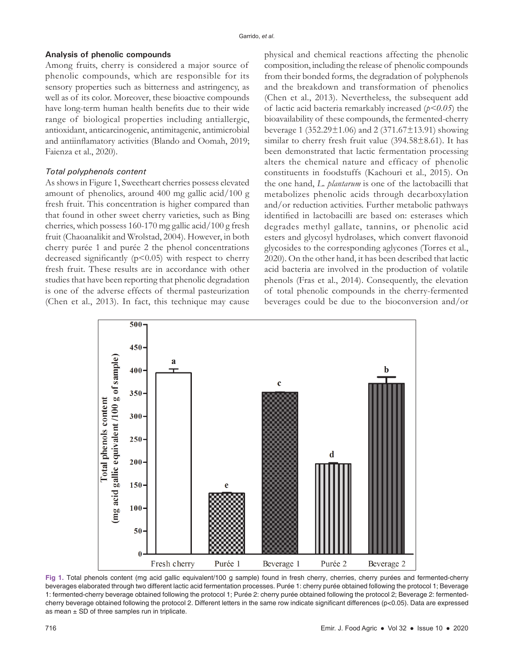#### **Analysis of phenolic compounds**

Among fruits, cherry is considered a major source of phenolic compounds, which are responsible for its sensory properties such as bitterness and astringency, as well as of its color. Moreover, these bioactive compounds have long-term human health benefits due to their wide range of biological properties including antiallergic, antioxidant, anticarcinogenic, antimitagenic, antimicrobial and antiinflamatory activities (Blando and Oomah, 2019; Faienza et al., 2020).

#### *Total polyphenols content*

As shows in Figure 1, Sweetheart cherries possess elevated amount of phenolics, around 400 mg gallic acid/100 g fresh fruit. This concentration is higher compared than that found in other sweet cherry varieties, such as Bing cherries, which possess 160-170 mg gallic acid/100 g fresh fruit (Chaoanalikit and Wrolstad, 2004). However, in both cherry purée 1 and purée 2 the phenol concentrations decreased significantly  $(p<0.05)$  with respect to cherry fresh fruit. These results are in accordance with other studies that have been reporting that phenolic degradation is one of the adverse effects of thermal pasteurization (Chen et al., 2013). In fact, this technique may cause

physical and chemical reactions affecting the phenolic composition, including the release of phenolic compounds from their bonded forms, the degradation of polyphenols and the breakdown and transformation of phenolics (Chen et al., 2013). Nevertheless, the subsequent add of lactic acid bacteria remarkably increased (*p<0.05*) the bioavailability of these compounds, the fermented-cherry beverage 1 (352.29±1.06) and 2 (371.67±13.91) showing similar to cherry fresh fruit value (394.58±8.61). It has been demonstrated that lactic fermentation processing alters the chemical nature and efficacy of phenolic constituents in foodstuffs (Kachouri et al., 2015). On the one hand, *L. plantarum* is one of the lactobacilli that metabolizes phenolic acids through decarboxylation and/or reduction activities. Further metabolic pathways identified in lactobacilli are based on: esterases which degrades methyl gallate, tannins, or phenolic acid esters and glycosyl hydrolases, which convert flavonoid glycosides to the corresponding aglycones (Torres et al., 2020). On the other hand, it has been described that lactic acid bacteria are involved in the production of volatile phenols (Fras et al., 2014). Consequently, the elevation of total phenolic compounds in the cherry-fermented beverages could be due to the bioconversion and/or



**Fig 1.** Total phenols content (mg acid gallic equivalent/100 g sample) found in fresh cherry, cherries, cherry purées and fermented-cherry beverages elaborated through two different lactic acid fermentation processes. Purée 1: cherry purée obtained following the protocol 1; Beverage 1: fermented-cherry beverage obtained following the protocol 1; Purée 2: cherry purée obtained following the protocol 2; Beverage 2: fermentedcherry beverage obtained following the protocol 2. Different letters in the same row indicate significant differences (p<0.05). Data are expressed as mean  $\pm$  SD of three samples run in triplicate.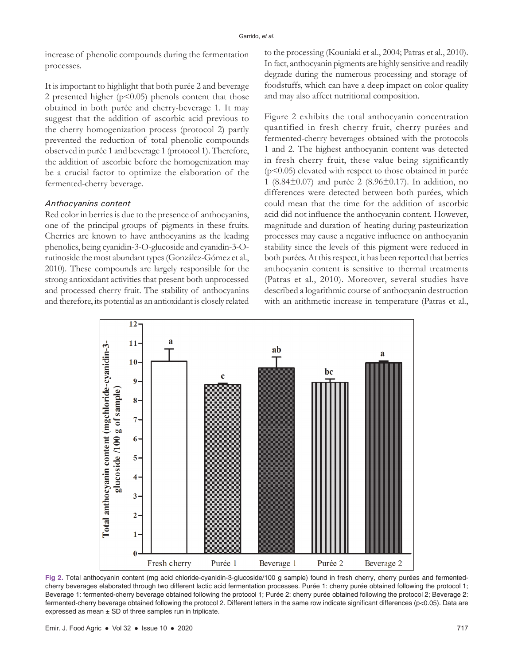increase of phenolic compounds during the fermentation processes.

It is important to highlight that both purée 2 and beverage 2 presented higher  $(p<0.05)$  phenols content that those obtained in both purée and cherry-beverage 1. It may suggest that the addition of ascorbic acid previous to the cherry homogenization process (protocol 2) partly prevented the reduction of total phenolic compounds observed in purée 1 and beverage 1 (protocol 1). Therefore, the addition of ascorbic before the homogenization may be a crucial factor to optimize the elaboration of the fermented-cherry beverage.

# *Anthocyanins content*

Red color in berries is due to the presence of anthocyanins, one of the principal groups of pigments in these fruits. Cherries are known to have anthocyanins as the leading phenolics, being cyanidin-3-O-glucoside and cyanidin-3-Orutinoside the most abundant types (González-Gómez et al., 2010). These compounds are largely responsible for the strong antioxidant activities that present both unprocessed and processed cherry fruit. The stability of anthocyanins and therefore, its potential as an antioxidant is closely related to the processing (Kouniaki et al., 2004; Patras et al., 2010). In fact, anthocyanin pigments are highly sensitive and readily degrade during the numerous processing and storage of foodstuffs, which can have a deep impact on color quality and may also affect nutritional composition.

Figure 2 exhibits the total anthocyanin concentration quantified in fresh cherry fruit, cherry purées and fermented-cherry beverages obtained with the protocols 1 and 2. The highest anthocyanin content was detected in fresh cherry fruit, these value being significantly (p<0.05) elevated with respect to those obtained in purée 1 (8.84±0.07) and purée 2 (8.96±0.17). In addition, no differences were detected between both purées, which could mean that the time for the addition of ascorbic acid did not influence the anthocyanin content. However, magnitude and duration of heating during pasteurization processes may cause a negative influence on anthocyanin stability since the levels of this pigment were reduced in both purées. At this respect, it has been reported that berries anthocyanin content is sensitive to thermal treatments (Patras et al., 2010). Moreover, several studies have described a logarithmic course of anthocyanin destruction with an arithmetic increase in temperature (Patras et al.,



**Fig 2.** Total anthocyanin content (mg acid chloride-cyanidin-3-glucoside/100 g sample) found in fresh cherry, cherry purées and fermentedcherry beverages elaborated through two different lactic acid fermentation processes. Purée 1: cherry purée obtained following the protocol 1; Beverage 1: fermented-cherry beverage obtained following the protocol 1; Purée 2: cherry purée obtained following the protocol 2; Beverage 2: fermented-cherry beverage obtained following the protocol 2. Different letters in the same row indicate significant differences (p<0.05). Data are expressed as mean  $\pm$  SD of three samples run in triplicate.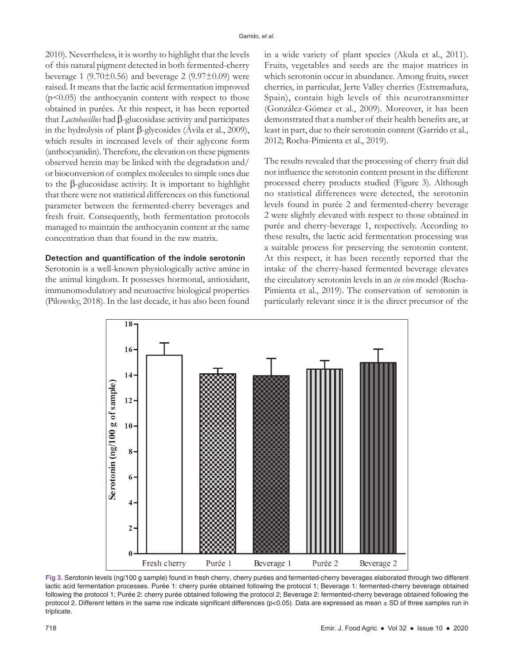2010). Nevertheless, it is worthy to highlight that the levels of this natural pigment detected in both fermented-cherry beverage 1 (9.70 $\pm$ 0.56) and beverage 2 (9.97 $\pm$ 0.09) were raised. It means that the lactic acid fermentation improved  $(p<0.05)$  the anthocyanin content with respect to those obtained in purées. At this respect, it has been reported that *Lactobacillus* had β-glucosidase activity and participates in the hydrolysis of plant β-glycosides (Ávila et al., 2009), which results in increased levels of their aglycone form (anthocyanidin). Therefore, the elevation on these pigments observed herein may be linked with the degradation and/ or bioconversion of complex molecules to simple ones due to the β-glucosidase activity. It is important to highlight that there were not statistical differences on this functional parameter between the fermented-cherry beverages and fresh fruit. Consequently, both fermentation protocols managed to maintain the anthocyanin content at the same concentration than that found in the raw matrix.

## **Detection and quantification of the indole serotonin**

Serotonin is a well-known physiologically active amine in the animal kingdom. It possesses hormonal, antioxidant, immunomodulatory and neuroactive biological properties (Pilowsky, 2018). In the last decade, it has also been found in a wide variety of plant species (Akula et al., 2011). Fruits, vegetables and seeds are the major matrices in which serotonin occur in abundance. Among fruits, sweet cherries, in particular, Jerte Valley cherries (Extremadura, Spain), contain high levels of this neurotransmitter (González-Gómez et al., 2009). Moreover, it has been demonstrated that a number of their health benefits are, at least in part, due to their serotonin content (Garrido et al., 2012; Rocha-Pimienta et al., 2019).

The results revealed that the processing of cherry fruit did not influence the serotonin content present in the different processed cherry products studied (Figure 3). Although no statistical differences were detected, the serotonin levels found in purée 2 and fermented-cherry beverage 2 were slightly elevated with respect to those obtained in purée and cherry-beverage 1, respectively. According to these results, the lactic acid fermentation processing was a suitable process for preserving the serotonin content. At this respect, it has been recently reported that the intake of the cherry-based fermented beverage elevates the circulatory serotonin levels in an *in vivo* model (Rocha-Pimienta et al., 2019). The conservation of serotonin is particularly relevant since it is the direct precursor of the



**Fig 3.** Serotonin levels (ng/100 g sample) found in fresh cherry, cherry purées and fermented-cherry beverages elaborated through two different lactic acid fermentation processes. Purée 1: cherry purée obtained following the protocol 1; Beverage 1: fermented-cherry beverage obtained following the protocol 1; Purée 2: cherry purée obtained following the protocol 2; Beverage 2: fermented-cherry beverage obtained following the protocol 2. Different letters in the same row indicate significant differences ( $p<0.05$ ). Data are expressed as mean  $\pm$  SD of three samples run in triplicate.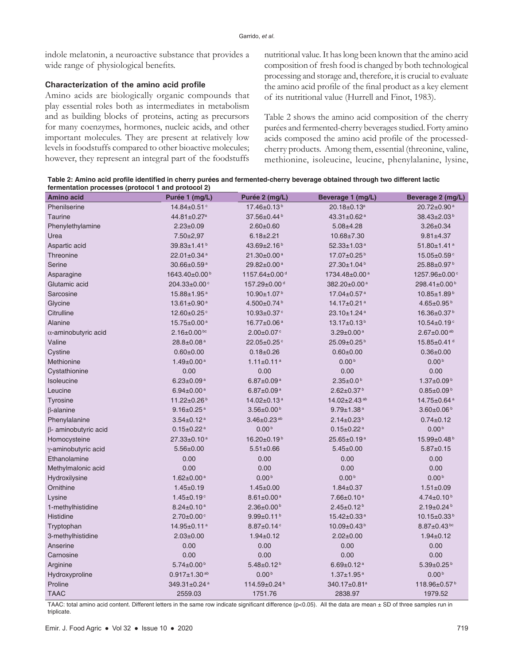indole melatonin, a neuroactive substance that provides a wide range of physiological benefits.

#### **Characterization of the amino acid profile**

Amino acids are biologically organic compounds that play essential roles both as intermediates in metabolism and as building blocks of proteins, acting as precursors for many coenzymes, hormones, nucleic acids, and other important molecules. They are present at relatively low levels in foodstuffs compared to other bioactive molecules; however, they represent an integral part of the foodstuffs nutritional value. It has long been known that the amino acid composition of fresh food is changed by both technological processing and storage and, therefore, it is crucial to evaluate the amino acid profile of the final product as a key element of its nutritional value (Hurrell and Finot, 1983).

Table 2 shows the amino acid composition of the cherry purées and fermented-cherry beverages studied. Forty amino acids composed the amino acid profile of the processedcherry products. Among them, essential (threonine, valine, methionine, isoleucine, leucine, phenylalanine, lysine,

**Table 2: Amino acid profile identified in cherry purées and fermented-cherry beverage obtained through two different lactic fermentation processes (protocol 1 and protocol 2)**

| <b>Amino acid</b>           | Purée 1 (mg/L)                | Purée 2 (mg/L)                | Beverage 1 (mg/L)             | Beverage 2 (mg/L)              |
|-----------------------------|-------------------------------|-------------------------------|-------------------------------|--------------------------------|
| Phenilserine                | 14.84±0.51 <sup>c</sup>       | 17.46±0.13 <sup>b</sup>       | 20.18±0.13 <sup>a</sup>       | 20.72±0.90 <sup>a</sup>        |
| <b>Taurine</b>              | 44.81±0.27 <sup>a</sup>       | 37.56±0.44 <sup>b</sup>       | $43.31 \pm 0.62$ <sup>a</sup> | 38.43±2.03 <sup>b</sup>        |
| Phenylethylamine            | $2.23 \pm 0.09$               | $2.60 \pm 0.60$               | $5.08 \pm 4.28$               | $3.26 \pm 0.34$                |
| Urea                        | $7.50 \pm 2.97$               | $6.18 \pm 2.21$               | 10.68±7.30                    | $9.81 \pm 4.37$                |
| Aspartic acid               | $39.83 \pm 1.41$ <sup>b</sup> | 43.69 $\pm$ 2.16 <sup>b</sup> | $52.33 \pm 1.03$ <sup>a</sup> | $51.80 \pm 1.41$ <sup>a</sup>  |
| Threonine                   | 22.01±0.34 <sup>a</sup>       | $21.30\pm0.00^{\text{a}}$     | 17.07±0.25 <sup>b</sup>       | 15.05±0.59°                    |
| Serine                      | 30.66±0.59 <sup>a</sup>       | 29.82±0.00 <sup>a</sup>       | 27.30±1.04 <sup>b</sup>       | 25.88±0.97 <sup>b</sup>        |
| Asparagine                  | 1643.40±0.00 <sup>b</sup>     | 1157.64±0.00 <sup>d</sup>     | 1734.48±0.00 <sup>a</sup>     | 1257.96±0.00°                  |
| Glutamic acid               | 204.33±0.00°                  | 157.29±0.00 <sup>d</sup>      | 382.20±0.00 <sup>a</sup>      | 298.41±0.00 <sup>b</sup>       |
| Sarcosine                   | 15.88±1.95 <sup>a</sup>       | 10.90±1.07 <sup>b</sup>       | 17.04±0.57 <sup>a</sup>       | 10.85±1.89 <sup>b</sup>        |
| Glycine                     | 13.61±0.90 <sup>a</sup>       | 4.500±0.74 <sup>b</sup>       | 14.17±0.21 <sup>a</sup>       | $4.65 \pm 0.95^{\text{b}}$     |
| Citrulline                  | 12.60±0.25°                   | 10.93±0.37°                   | $23.10 \pm 1.24$ <sup>a</sup> | 16.36±0.37 <sup>b</sup>        |
| Alanine                     | 15.75±0.00 <sup>a</sup>       | 16.77±0.06 <sup>a</sup>       | 13.17±0.13 <sup>b</sup>       | 10.54±0.19 <sup>c</sup>        |
| $\alpha$ -aminobutyric acid | $2.16 \pm 0.00$ bc            | $2.00 \pm 0.07$ <sup>c</sup>  | $3.29 \pm 0.00$ <sup>a</sup>  | $2.67 \pm 0.00$ <sup>ab</sup>  |
| Valine                      | $28.8 \pm 0.08$ <sup>a</sup>  | 22.05±0.25°                   | 25.09±0.25 <sup>b</sup>       | 15.85±0.41 <sup>d</sup>        |
| Cystine                     | $0.60 \pm 0.00$               | $0.18 + 0.26$                 | $0.60 \pm 0.00$               | $0.36 \pm 0.00$                |
| Methionine                  | $1.49 \pm 0.00$ <sup>a</sup>  | $1.11 \pm 0.11$ <sup>a</sup>  | 0.00 <sup>b</sup>             | 0.00 <sup>b</sup>              |
| Cystathionine               | 0.00                          | 0.00                          | 0.00                          | 0.00                           |
| Isoleucine                  | $6.23 \pm 0.09$ <sup>a</sup>  | $6.87 \pm 0.09$ <sup>a</sup>  | $2.35 \pm 0.0^{\text{b}}$     | $1.37 \pm 0.09^{\text{b}}$     |
| Leucine                     | $6.94 \pm 0.00$ <sup>a</sup>  | $6.87 \pm 0.09$ <sup>a</sup>  | $2.62 \pm 0.37$ <sup>b</sup>  | $0.85 \pm 0.09^{\text{b}}$     |
| <b>Tyrosine</b>             | 11.22±0.26 <sup>b</sup>       | 14.02±0.13 <sup>a</sup>       | 14.02±2.43 <sup>ab</sup>      | 14.75±0.64 <sup>a</sup>        |
| $\beta$ -alanine            | $9.16 \pm 0.25$ <sup>a</sup>  | $3.56 \pm 0.00^{\text{b}}$    | $9.79 \pm 1.38$ <sup>a</sup>  | $3.60 \pm 0.06^{\text{b}}$     |
| Phenylalanine               | $3.54 \pm 0.12$ <sup>a</sup>  | $3.46 \pm 0.23$ <sup>ab</sup> | $2.14 \pm 0.23$ <sup>b</sup>  | $0.74 \pm 0.12$                |
| $\beta$ - aminobutyric acid | $0.15 \pm 0.22$ <sup>a</sup>  | 0.00 <sup>b</sup>             | $0.15 \pm 0.22$ <sup>a</sup>  | 0.00 <sup>b</sup>              |
| Homocysteine                | $27.33 \pm 0.10^a$            | $16.20\pm0.19^{b}$            | $25.65 \pm 0.19^a$            | 15.99±0.48 <sup>b</sup>        |
| γ-aminobutyric acid         | $5.56 \pm 0.00$               | $5.51 \pm 0.66$               | $5.45 \pm 0.00$               | $5.87 \pm 0.15$                |
| Ethanolamine                | 0.00                          | 0.00                          | 0.00                          | 0.00                           |
| Methylmalonic acid          | 0.00                          | 0.00                          | 0.00                          | 0.00                           |
| Hydroxilysine               | $1.62 \pm 0.00$ <sup>a</sup>  | 0.00 <sup>b</sup>             | 0.00 <sup>b</sup>             | 0.00 <sup>b</sup>              |
| Ornithine                   | $1.45 \pm 0.19$               | $1.45 \pm 0.00$               | $1.84 \pm 0.37$               | $1.51 \pm 0.09$                |
| Lysine                      | $1.45 \pm 0.19$ <sup>c</sup>  | $8.61 \pm 0.00$ <sup>a</sup>  | 7.66±0.10 <sup>a</sup>        | $4.74 \pm 0.10^{b}$            |
| 1-methylhistidine           | $8.24 \pm 0.10^{\text{a}}$    | $2.36 \pm 0.00^{\text{b}}$    | $2.45 \pm 0.12^{b}$           | $2.19 \pm 0.24$ <sup>b</sup>   |
| Histidine                   | $2.70 \pm 0.00$ <sup>c</sup>  | $9.99 \pm 0.11^b$             | 15.42±0.33 <sup>a</sup>       | 10.15±0.33 <sup>b</sup>        |
| Tryptophan                  | 14.95±0.11 <sup>a</sup>       | $8.87 \pm 0.14$ <sup>c</sup>  | 10.09±0.43 <sup>b</sup>       | $8.87 \pm 0.43$ bc             |
| 3-methylhistidine           | $2.03 \pm 0.00$               | $1.94 \pm 0.12$               | $2.02 \pm 0.00$               | $1.94 \pm 0.12$                |
| Anserine                    | 0.00                          | 0.00                          | 0.00                          | 0.00                           |
| Carnosine                   | 0.00                          | 0.00                          | 0.00                          | 0.00                           |
| Arginine                    | $5.74 \pm 0.00^{\text{b}}$    | $5.48 \pm 0.12^{b}$           | $6.69 \pm 0.12$ <sup>a</sup>  | $5.39 \pm 0.25^{\,\mathrm{b}}$ |
| Hydroxyproline              | $0.917 \pm 1.30$ ab           | 0.00 <sup>b</sup>             | $1.37 \pm 1.95$ <sup>a</sup>  | 0.00 <sup>b</sup>              |
| Proline                     | 349.31±0.24 <sup>a</sup>      | 114.59±0.24 <sup>b</sup>      | 340.17±0.81 <sup>a</sup>      | 118.96±0.57 <sup>b</sup>       |
| <b>TAAC</b>                 | 2559.03                       | 1751.76                       | 2838.97                       | 1979.52                        |

TAAC: total amino acid content. Different letters in the same row indicate significant difference (p<0.05). All the data are mean ± SD of three samples run in triplicate.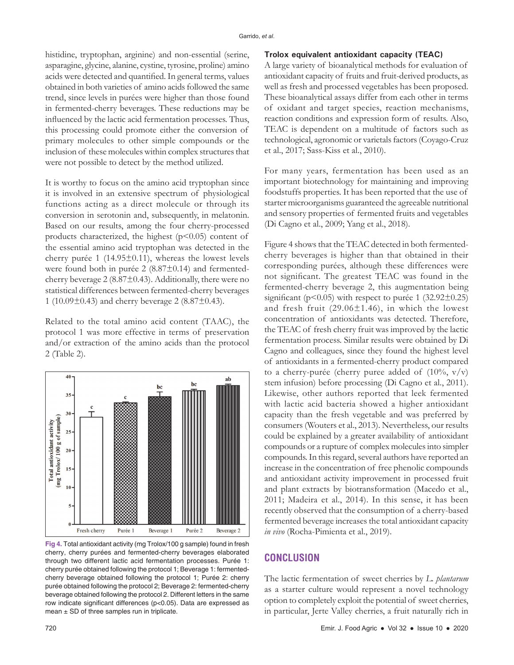histidine, tryptophan, arginine) and non-essential (serine, asparagine, glycine, alanine, cystine, tyrosine, proline) amino acids were detected and quantified. In general terms, values obtained in both varieties of amino acids followed the same trend, since levels in purées were higher than those found in fermented-cherry beverages. These reductions may be influenced by the lactic acid fermentation processes. Thus, this processing could promote either the conversion of primary molecules to other simple compounds or the inclusion of these molecules within complex structures that were not possible to detect by the method utilized.

It is worthy to focus on the amino acid tryptophan since it is involved in an extensive spectrum of physiological functions acting as a direct molecule or through its conversion in serotonin and, subsequently, in melatonin. Based on our results, among the four cherry-processed products characterized, the highest  $(p<0.05)$  content of the essential amino acid tryptophan was detected in the cherry purée 1 (14.95±0.11), whereas the lowest levels were found both in purée 2 (8.87±0.14) and fermentedcherry beverage  $2(8.87\pm0.43)$ . Additionally, there were no statistical differences between fermented-cherry beverages 1 (10.09 $\pm$ 0.43) and cherry beverage 2 (8.87 $\pm$ 0.43).

Related to the total amino acid content (TAAC), the protocol 1 was more effective in terms of preservation and/or extraction of the amino acids than the protocol 2 (Table 2).



**Fig 4.** Total antioxidant activity (mg Trolox/100 g sample) found in fresh cherry, cherry purées and fermented-cherry beverages elaborated through two different lactic acid fermentation processes. Purée 1: cherry purée obtained following the protocol 1; Beverage 1: fermentedcherry beverage obtained following the protocol 1; Purée 2: cherry purée obtained following the protocol 2; Beverage 2: fermented-cherry beverage obtained following the protocol 2. Different letters in the same row indicate significant differences (p<0.05). Data are expressed as mean  $\pm$  SD of three samples run in triplicate.

#### **Trolox equivalent antioxidant capacity (TEAC)**

A large variety of bioanalytical methods for evaluation of antioxidant capacity of fruits and fruit-derived products, as well as fresh and processed vegetables has been proposed. These bioanalytical assays differ from each other in terms of oxidant and target species, reaction mechanisms, reaction conditions and expression form of results. Also, TEAC is dependent on a multitude of factors such as technological, agronomic or varietals factors (Coyago-Cruz et al., 2017; Sass-Kiss et al., 2010).

For many years, fermentation has been used as an important biotechnology for maintaining and improving foodstuffs properties. It has been reported that the use of starter microorganisms guaranteed the agreeable nutritional and sensory properties of fermented fruits and vegetables (Di Cagno et al., 2009; Yang et al., 2018).

Figure 4 shows that the TEAC detected in both fermentedcherry beverages is higher than that obtained in their corresponding purées, although these differences were not significant. The greatest TEAC was found in the fermented-cherry beverage 2, this augmentation being significant ( $p<0.05$ ) with respect to purée 1 (32.92 $\pm$ 0.25) and fresh fruit  $(29.06 \pm 1.46)$ , in which the lowest concentration of antioxidants was detected. Therefore, the TEAC of fresh cherry fruit was improved by the lactic fermentation process. Similar results were obtained by Di Cagno and colleagues, since they found the highest level of antioxidants in a fermented-cherry product compared to a cherry-purée (cherry puree added of  $(10\%, v/v)$ ) stem infusion) before processing (Di Cagno et al., 2011). Likewise, other authors reported that leek fermented with lactic acid bacteria showed a higher antioxidant capacity than the fresh vegetable and was preferred by consumers (Wouters et al., 2013). Nevertheless, our results could be explained by a greater availability of antioxidant compounds or a rupture of complex molecules into simpler compounds. In this regard, several authors have reported an increase in the concentration of free phenolic compounds and antioxidant activity improvement in processed fruit and plant extracts by biotransformation (Macedo et al., 2011; Madeira et al., 2014). In this sense, it has been recently observed that the consumption of a cherry-based fermented beverage increases the total antioxidant capacity *in vivo* (Rocha-Pimienta et al., 2019).

# **CONCLUSION**

The lactic fermentation of sweet cherries by *L. plantarum* as a starter culture would represent a novel technology option to completely exploit the potential of sweet cherries, in particular, Jerte Valley cherries, a fruit naturally rich in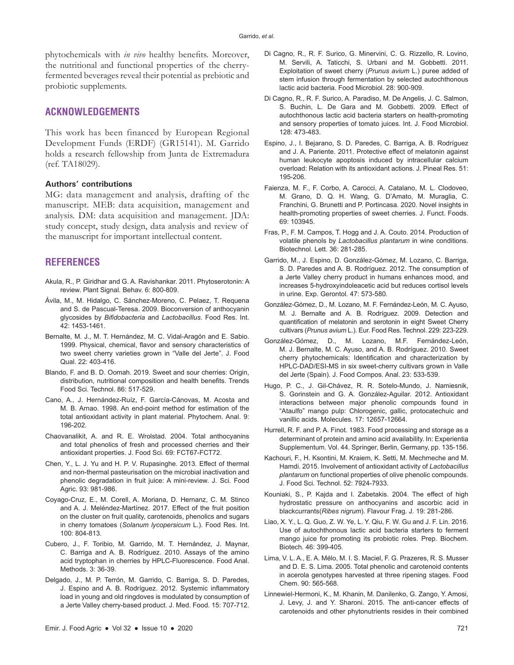phytochemicals with *in vivo* healthy benefits. Moreover, the nutritional and functional properties of the cherryfermented beverages reveal their potential as prebiotic and probiotic supplements.

# **ACKNOWLEDGEMENTS**

This work has been financed by European Regional Development Funds (ERDF) (GR15141). M. Garrido holds a research fellowship from Junta de Extremadura (ref. TA18029).

#### **Authors' contributions**

MG: data management and analysis, drafting of the manuscript. MEB: data acquisition, management and analysis. DM: data acquisition and management. JDA: study concept, study design, data analysis and review of the manuscript for important intellectual content.

## **REFERENCES**

- Akula, R., P. Giridhar and G. A. Ravishankar. 2011. Phytoserotonin: A review. Plant Signal. Behav. 6: 800-809.
- Ávila, M., M. Hidalgo, C. Sánchez-Moreno, C. Pelaez, T. Requena and S. de Pascual-Teresa. 2009. Bioconversion of anthocyanin glycosides by *Bifidobacteria* and *Lactobacillus*. Food Res. Int. 42: 1453-1461.
- Bernalte, M. J., M. T. Hernández, M. C. Vidal-Aragón and E. Sabio. 1999. Physical, chemical, flavor and sensory characteristics of two sweet cherry varieties grown in "Valle del Jerte". J. Food Qual. 22: 403-416.
- Blando, F. and B. D. Oomah. 2019. Sweet and sour cherries: Origin, distribution, nutritional composition and health benefits. Trends Food Sci. Technol. 86: 517-529.
- Cano, A., J. Hernández-Ruíz, F. García-Cánovas, M. Acosta and M. B. Arnao. 1998. An end-point method for estimation of the total antioxidant activity in plant material. Phytochem. Anal. 9: 196-202.
- Chaovanalikit, A. and R. E. Wrolstad. 2004. Total anthocyanins and total phenolics of fresh and processed cherries and their antioxidant properties. J. Food Sci. 69: FCT67-FCT72.
- Chen, Y., L. J. Yu and H. P. V. Rupasinghe. 2013. Effect of thermal and non-thermal pasteurisation on the microbial inactivation and phenolic degradation in fruit juice: A mini-review. J. Sci. Food Agric. 93: 981-986.
- Coyago-Cruz, E., M. Corell, A. Moriana, D. Hernanz, C. M. Stinco and A. J. Meléndez-Martínez. 2017. Effect of the fruit position on the cluster on fruit quality, carotenoids, phenolics and sugars in cherry tomatoes (*Solanum lycopersicum* L.). Food Res. Int. 100: 804-813.
- Cubero, J., F. Toribio, M. Garrido, M. T. Hernández, J. Maynar, C. Barriga and A. B. Rodríguez. 2010. Assays of the amino acid tryptophan in cherries by HPLC-Fluorescence. Food Anal. Methods. 3: 36-39.
- Delgado, J., M. P. Terrón, M. Garrido, C. Barriga, S. D. Paredes, J. Espino and A. B. Rodríguez. 2012. Systemic inflammatory load in young and old ringdoves is modulated by consumption of a Jerte Valley cherry-based product. J. Med. Food. 15: 707-712.
- Di Cagno, R., R. F. Surico, G. Minervini, C. G. Rizzello, R. Lovino, M. Servili, A. Taticchi, S. Urbani and M. Gobbetti. 2011. Exploitation of sweet cherry (*Prunus avium* L.) puree added of stem infusion through fermentation by selected autochthonous lactic acid bacteria. Food Microbiol. 28: 900-909.
- Di Cagno, R., R. F. Surico, A. Paradiso, M. De Angelis, J. C. Salmon, S. Buchin, L. De Gara and M. Gobbetti. 2009. Effect of autochthonous lactic acid bacteria starters on health-promoting and sensory properties of tomato juices. Int. J. Food Microbiol. 128: 473-483.
- Espino, J., I. Bejarano, S. D. Paredes, C. Barriga, A. B. Rodríguez and J. A. Pariente. 2011. Protective effect of melatonin against human leukocyte apoptosis induced by intracellular calcium overload: Relation with its antioxidant actions. J. Pineal Res. 51: 195-206.
- Faienza, M. F., F. Corbo, A. Carocci, A. Catalano, M. L. Clodoveo, M. Grano, D. Q. H. Wang, G. D'Amato, M. Muraglia, C. Franchini, G. Brunetti and P. Portincasa. 2020. Novel insights in health-promoting properties of sweet cherries. J. Funct. Foods. 69: 103945.
- Fras, P., F. M. Campos, T. Hogg and J. A. Couto. 2014. Production of volatile phenols by *Lactobacillus plantarum* in wine conditions. Biotechnol. Lett. 36: 281-285.
- Garrido, M., J. Espino, D. González-Gómez, M. Lozano, C. Barriga, S. D. Paredes and A. B. Rodríguez. 2012. The consumption of a Jerte Valley cherry product in humans enhances mood, and increases 5-hydroxyindoleacetic acid but reduces cortisol levels in urine. Exp. Gerontol. 47: 573-580.
- González-Gómez, D., M. Lozano, M. F. Fernández-León, M. C. Ayuso, M. J. Bernalte and A. B. Rodríguez. 2009. Detection and quantification of melatonin and serotonin in eight Sweet Cherry cultivars (*Prunus avium* L.). Eur. Food Res. Technol. 229: 223-229.
- González-Gómez, D., M. Lozano, M.F. Fernández-León, M. J. Bernalte, M. C. Ayuso, and A. B. Rodríguez. 2010. Sweet cherry phytochemicals: Identification and characterization by HPLC-DAD/ESI-MS in six sweet-cherry cultivars grown in Valle del Jerte (Spain). J. Food Compos. Anal. 23: 533-539.
- Hugo, P. C., J. Gil-Chávez, R. R. Sotelo-Mundo, J. Namiesnik, S. Gorinstein and G. A. González-Aguilar. 2012. Antioxidant interactions between major phenolic compounds found in "Ataulfo" mango pulp: Chlorogenic, gallic, protocatechuic and vanillic acids. Molecules. 17: 12657-12664.
- Hurrell, R. F. and P. A. Finot. 1983. Food processing and storage as a determinant of protein and amino acid availability. In: Experientia Supplementum. Vol. 44. Springer, Berlin, Germany, pp. 135-156.
- Kachouri, F., H. Ksontini, M. Kraiem, K. Setti, M. Mechmeche and M. Hamdi. 2015. Involvement of antioxidant activity of *Lactobacillus plantarum* on functional properties of olive phenolic compounds. J. Food Sci. Technol. 52: 7924-7933.
- Kouniaki, S., P. Kajda and I. Zabetakis. 2004. The effect of high hydrostatic pressure on anthocyanins and ascorbic acid in blackcurrants(*Ribes nigrum*). Flavour Frag. J. 19: 281-286.
- Liao, X. Y., L. Q. Guo, Z. W. Ye, L. Y. Qiu, F. W. Gu and J. F. Lin. 2016. Use of autochthonous lactic acid bacteria starters to ferment mango juice for promoting its probiotic roles. Prep. Biochem. Biotech. 46: 399-405.
- Lima, V. L. A., E. A. Mélo, M. I. S. Maciel, F. G. Prazeres, R. S. Musser and D. E. S. Lima. 2005. Total phenolic and carotenoid contents in acerola genotypes harvested at three ripening stages. Food Chem. 90: 565-568.
- Linnewiel-Hermoni, K., M. Khanin, M. Danilenko, G. Zango, Y. Amosi, J. Levy, J. and Y. Sharoni. 2015. The anti-cancer effects of carotenoids and other phytonutrients resides in their combined